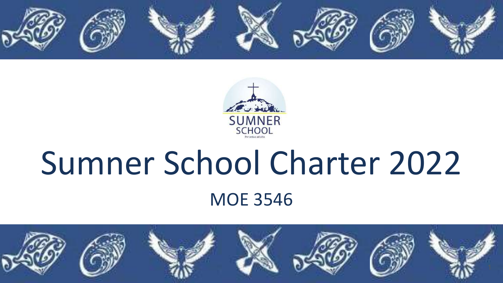



# Sumner School Charter 2022 MOE 3546

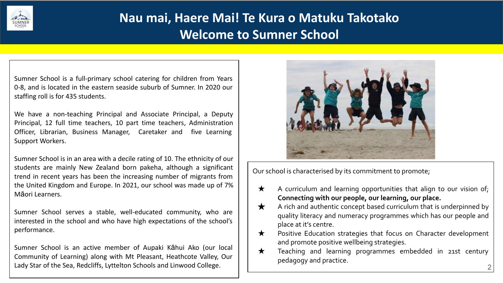

#### **Nau mai, Haere Mai! Te Kura o Matuku Takotako Welcome to Sumner School**

Sumner School is a full-primary school catering for children from Years 0-8, and is located in the eastern seaside suburb of Sumner. In 2020 our staffing roll is for 435 students.

We have a non-teaching Principal and Associate Principal, a Deputy Principal, 12 full time teachers, 10 part time teachers, Administration Officer, Librarian, Business Manager, Caretaker and five Learning Support Workers.

Sumner School is in an area with a decile rating of 10. The ethnicity of our students are mainly New Zealand born pakeha, although a significant trend in recent years has been the increasing number of migrants from the United Kingdom and Europe. In 2021, our school was made up of 7% Māori Learners.

Sumner School serves a stable, well-educated community, who are interested in the school and who have high expectations of the school's performance.

Sumner School is an active member of Aupaki Kāhui Ako (our local Community of Learning) along with Mt Pleasant, Heathcote Valley, Our Lady Star of the Sea, Redcliffs, Lyttelton Schools and Linwood College.



Our school is characterised by its commitment to promote;

- $\star$  A curriculum and learning opportunities that align to our vision of; **Connecting with our people, our learning, our place.**
- $\bigstar$  A rich and authentic concept based curriculum that is underpinned by quality literacy and numeracy programmes which has our people and place at it's centre.
- ★ Positive Education strategies that focus on Character development and promote positive wellbeing strategies.
- ★ Teaching and learning programmes embedded in 21st century pedagogy and practice.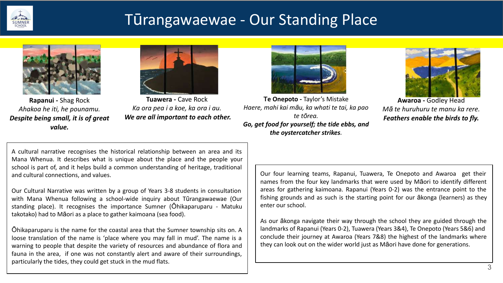

### Tūrangawaewae - Our Standing Place



**Rapanui -** Shag Rock *Ahakoa he iti, he pounamu. Despite being small, it is of great value.*



**Tuawera -** Cave Rock *Ka ora pea i a koe, ka ora i au. We are all important to each other.*



**Te Onepoto -** Taylor's Mistake *Haere, mahi kai māu, ka whati te tai, ka pao te tōrea. Go, get food for yourself; the tide ebbs, and the oystercatcher strikes.*



**Awaroa -** Godley Head *Mā te huruhuru te manu ka rere. Feathers enable the birds to fly.*

A cultural narrative recognises the historical relationship between an area and its Mana Whenua. It describes what is unique about the place and the people your school is part of, and it helps build a common understanding of heritage, traditional and cultural connections, and values.

Our Cultural Narrative was written by a group of Years 3-8 students in consultation with Mana Whenua following a school-wide inquiry about Tūrangawaewae (Our standing place). It recognises the importance Sumner (Ōhikaparuparu - Matuku takotako) had to Māori as a place to gather kaimoana (sea food).

Ōhikaparuparu is the name for the coastal area that the Sumner township sits on. A loose translation of the name is 'place where you may fall in mud'. The name is a warning to people that despite the variety of resources and abundance of flora and fauna in the area, if one was not constantly alert and aware of their surroundings, particularly the tides, they could get stuck in the mud flats.

Our four learning teams, Rapanui, Tuawera, Te Onepoto and Awaroa get their names from the four key landmarks that were used by Māori to identify different areas for gathering kaimoana. Rapanui (Years 0-2) was the entrance point to the fishing grounds and as such is the starting point for our ākonga (learners) as they enter our school.

As our ākonga navigate their way through the school they are guided through the landmarks of Rapanui (Years 0-2), Tuawera (Years 3&4), Te Onepoto (Years 5&6) and conclude their journey at Awaroa (Years 7&8) the highest of the landmarks where they can look out on the wider world just as Māori have done for generations.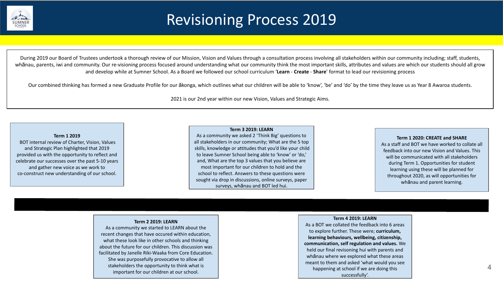

### Revisioning Process 2019

During 2019 our Board of Trustees undertook a thorough review of our Mission, Vision and Values through a consultation process involving all stakeholders within our community including; staff, students, whānau, parents, iwi and community. Our re-visioning process focused around understanding what our community think the most important skills, attributes and values are which our students should all grow and develop while at Sumner School. As a Board we followed our school curriculum '**Learn** - **Create** - **Share**' format to lead our revisioning process

Our combined thinking has formed a new Graduate Profile for our ākonga, which outlines what our children will be able to 'know', 'be' and 'do' by the time they leave us as Year 8 Awaroa students.

2021 is our 2nd year within our new Vision, Values and Strategic Aims.

#### **Term 1 2019**

BOT internal review of Charter, Vision, Values and Strategic Plan highlighted that 2019 provided us with the opportunity to reflect and celebrate our successes over the past 5-10 years and gather new voice as we work to co-construct new understanding of our school.

#### **Term 3 2019: LEARN**

As a community we asked 2 'Think Big' questions to all stakeholders in our community; What are the 5 top skills, knowledge or attitudes that you'd like your child to leave Sumner School being able to 'know' or 'do,' and, What are the top 3 values that you believe are most important for our children to hold and the school to reflect. Answers to these questions were sought via drop in discussions, online surveys, paper surveys, whānau and BOT led hui.

#### **Term 1 2020: CREATE and SHARE**

As a staff and BOT we have worked to collate all feedback into our new Vision and Values. This will be communicated with all stakeholders during Term 1. Opportunities for student learning using these will be planned for throughout 2020, as will opportunities for whānau and parent learning.

#### **Term 2 2019: LEARN**

As a community we started to LEARN about the recent changes that have occured within education, what these look like in other schools and thinking about the future for our children. This discussion was facilitated by Janelle Riki-Waaka from Core Education. She was purposefully provocative to allow all stakeholders the opportunity to think what is important for our children at our school.

#### **Term 4 2019: LEARN**

As a BOT we collated the feedback into 6 areas to explore further. These were; **curriculum, learning behaviours, wellbeing, citizenship, communication, self regulation and values.** We held our final revisoning hui with parents and whānau where we explored what these areas meant to them and asked 'what would you see happening at school if we are doing this successfully'.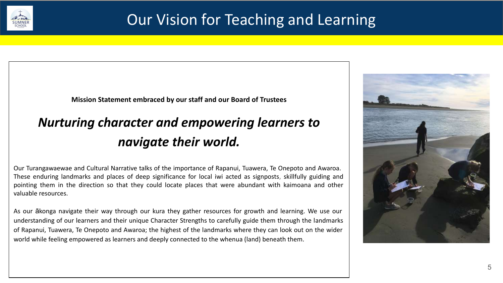

### Our Vision for Teaching and Learning

**Mission Statement embraced by our staff and our Board of Trustees** 

### *Nurturing character and empowering learners to navigate their world.*

Our Turangawaewae and Cultural Narrative talks of the importance of Rapanui, Tuawera, Te Onepoto and Awaroa. These enduring landmarks and places of deep significance for local iwi acted as signposts, skillfully guiding and pointing them in the direction so that they could locate places that were abundant with kaimoana and other valuable resources.

As our ākonga navigate their way through our kura they gather resources for growth and learning. We use our understanding of our learners and their unique Character Strengths to carefully guide them through the landmarks of Rapanui, Tuawera, Te Onepoto and Awaroa; the highest of the landmarks where they can look out on the wider world while feeling empowered as learners and deeply connected to the whenua (land) beneath them.

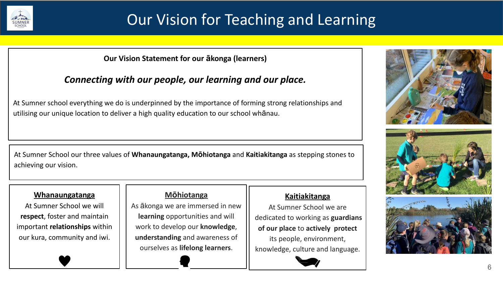

## Our Vision for Teaching and Learning

#### **Our Vision Statement for our ākonga (learners)**

#### *Connecting with our people, our learning and our place.*

At Sumner school everything we do is underpinned by the importance of forming strong relationships and utilising our unique location to deliver a high quality education to our school whānau.

At Sumner School our three values of **Whanaungatanga, Mōhiotanga** and **Kaitiakitanga** as stepping stones to achieving our vision.

#### **Whanaungatanga**

At Sumner School we will **respect**, foster and maintain important **relationships** within our kura, community and iwi.

#### **Mōhiotanga**

As ākonga we are immersed in new **learning** opportunities and will work to develop our **knowledge**, **understanding** and awareness of ourselves as **lifelong learners**.

#### **Kaitiakitanga**

At Sumner School we are dedicated to working as **guardians of our place** to **actively protect** its people, environment, knowledge, culture and language.







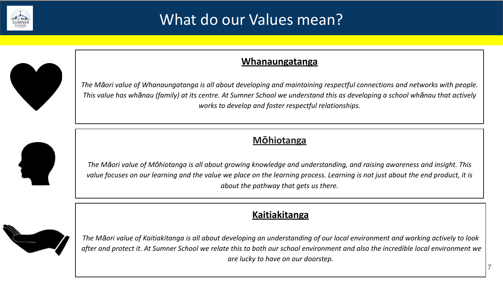

### What do our Values mean?



#### **Whanaungatanga**

*The Māori value of Whanaungatanga is all about developing and maintaining respectful connections and networks with people. This value has whānau (family) at its centre. At Sumner School we understand this as developing a school whānau that actively works to develop and foster respectful relationships.* 

#### **Mōhiotanga**

*The Māori value of Mōhiotanga is all about growing knowledge and understanding, and raising awareness and insight. This value focuses on our learning and the value we place on the learning process. Learning is not just about the end product, it is about the pathway that gets us there.* 

#### **Kaitiakitanga**



*The Māori value of Kaitiakitanga is all about developing an understanding of our local environment and working actively to look after and protect it. At Sumner School we relate this to both our school environment and also the incredible local environment we are lucky to have on our doorstep.*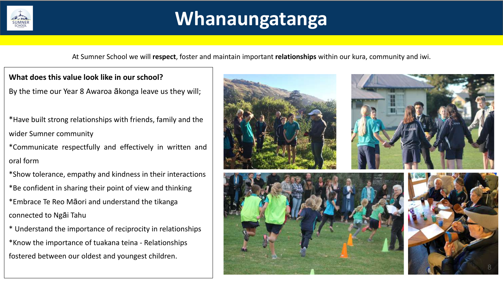

## **Whanaungatanga**

At Sumner School we will **respect**, foster and maintain important **relationships** within our kura, community and iwi.

**What does this value look like in our school?**

By the time our Year 8 Awaroa ākonga leave us they will;

- \*Have built strong relationships with friends, family and the wider Sumner community
- \*Communicate respectfully and effectively in written and oral form
- \*Show tolerance, empathy and kindness in their interactions \*Be confident in sharing their point of view and thinking \*Embrace Te Reo Māori and understand the tikanga
- connected to Ngāi Tahu
- \* Understand the importance of reciprocity in relationships \*Know the importance of tuakana teina - Relationships fostered between our oldest and youngest children.

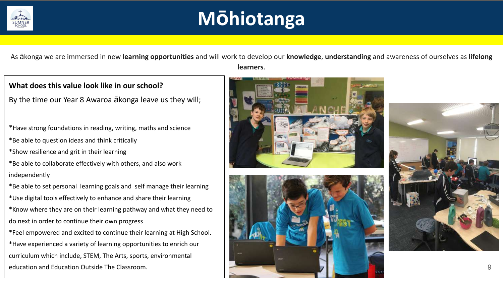

## **Mōhiotanga**

As ākonga we are immersed in new **learning opportunities** and will work to develop our **knowledge**, **understanding** and awareness of ourselves as **lifelong learners**.

#### **What does this value look like in our school?**

By the time our Year 8 Awaroa ākonga leave us they will;

\*Have strong foundations in reading, writing, maths and science \*Be able to question ideas and think critically

\*Show resilience and grit in their learning

\*Be able to collaborate effectively with others, and also work independently

\*Be able to set personal learning goals and self manage their learning \*Use digital tools effectively to enhance and share their learning \*Know where they are on their learning pathway and what they need to do next in order to continue their own progress

\*Feel empowered and excited to continue their learning at High School. \*Have experienced a variety of learning opportunities to enrich our curriculum which include, STEM, The Arts, sports, environmental education and Education Outside The Classroom. 9





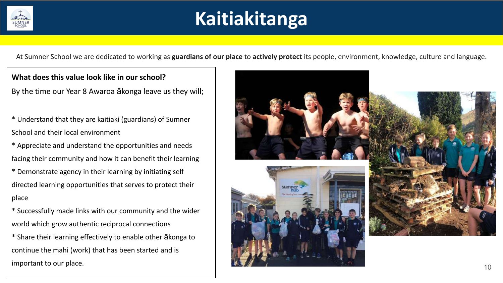

## **Kaitiakitanga**

At Sumner School we are dedicated to working as **guardians of our place** to **actively protect** its people, environment, knowledge, culture and language.

**What does this value look like in our school?**

By the time our Year 8 Awaroa ākonga leave us they will;

- \* Understand that they are kaitiaki (guardians) of Sumner School and their local environment
- \* Appreciate and understand the opportunities and needs facing their community and how it can benefit their learning
- \* Demonstrate agency in their learning by initiating self directed learning opportunities that serves to protect their place
- \* Successfully made links with our community and the wider world which grow authentic reciprocal connections
- \* Share their learning effectively to enable other ākonga to continue the mahi (work) that has been started and is important to our place.

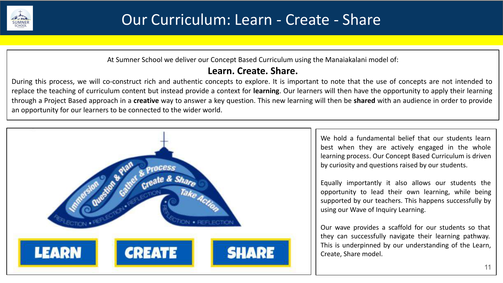

At Sumner School we deliver our Concept Based Curriculum using the Manaiakalani model of:

#### **Learn. Create. Share.**

During this process, we will co-construct rich and authentic concepts to explore. It is important to note that the use of concepts are not intended to replace the teaching of curriculum content but instead provide a context for **learning**. Our learners will then have the opportunity to apply their learning through a Project Based approach in a **creative** way to answer a key question. This new learning will then be **shared** with an audience in order to provide an opportunity for our learners to be connected to the wider world.

11

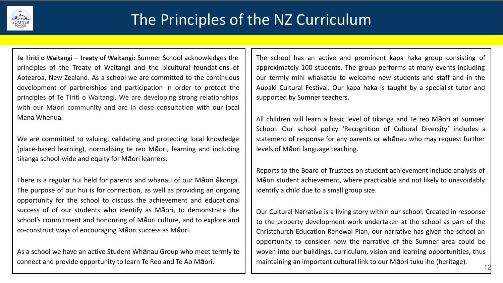

**Te Tiriti o Waitangi – Treaty of Waitangi:** Sumner School acknowledges the principles of the Treaty of Waitangi and the bicultural foundations of Aotearoa, New Zealand. As a school we are committed to the continuous development of partnerships and participation in order to protect the principles of Te Tiriti o Waitangi. We are developing strong relationships with our Māori community and are in close consultation with our local Mana Whenua.

We are committed to valuing, validating and protecting local knowledge (place-based learning), normalising te reo Māori, learning and including tikanga school-wide and equity for Māori learners.

There is a regular hui held for parents and whanau of our Māori ākonga. The purpose of our hui is for connection, as well as providing an ongoing opportunity for the school to discuss the achievement and educational success of of our students who identify as Māori, to demonstrate the school's commitment and honouring of Māori culture, and to explore and co-construct ways of encouraging Māori success as Māori.

As a school we have an active Student Whānau Group who meet termly to connect and provide opportunity to learn Te Reo and Te Ao Māori.

The school has an active and prominent kapa haka group consisting of approximately 100 students. The group performs at many events including our termly mihi whakatau to welcome new students and staff and in the Aupaki Cultural Festival. Our kapa haka is taught by a specialist tutor and supported by Sumner teachers.

All children will learn a basic level of tikanga and Te reo Māori at Sumner School. Our school policy 'Recognition of Cultural Diversity' includes a statement of response for any parents or whānau who may request further levels of Māori language teaching.

Reports to the Board of Trustees on student achievement include analysis of Māori student achievement, where practicable and not likely to unavoidably identify a child due to a small group size.

Our Cultural Narrative is a living story within our school. Created in response to the property development work undertaken at the school as part of the Christchurch Education Renewal Plan, our narrative has given the school an opportunity to consider how the narrative of the Sumner area could be woven into our buildings, curriculum, vision and learning opportunities, thus maintaining an important cultural link to our Māori tuku iho (heritage).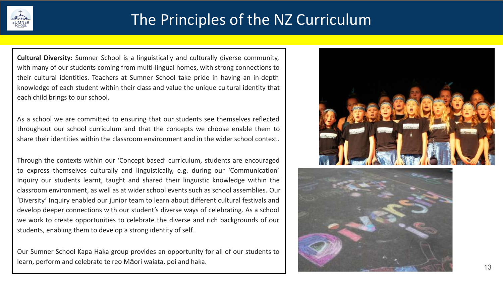

### The Principles of the NZ Curriculum

**Cultural Diversity:** Sumner School is a linguistically and culturally diverse community, with many of our students coming from multi-lingual homes, with strong connections to their cultural identities. Teachers at Sumner School take pride in having an in-depth knowledge of each student within their class and value the unique cultural identity that each child brings to our school.

As a school we are committed to ensuring that our students see themselves reflected throughout our school curriculum and that the concepts we choose enable them to share their identities within the classroom environment and in the wider school context.

Through the contexts within our 'Concept based' curriculum, students are encouraged to express themselves culturally and linguistically, e.g. during our 'Communication' Inquiry our students learnt, taught and shared their linguistic knowledge within the classroom environment, as well as at wider school events such as school assemblies. Our 'Diversity' Inquiry enabled our junior team to learn about different cultural festivals and develop deeper connections with our student's diverse ways of celebrating. As a school we work to create opportunities to celebrate the diverse and rich backgrounds of our students, enabling them to develop a strong identity of self.

Our Sumner School Kapa Haka group provides an opportunity for all of our students to learn, perform and celebrate te reo Māori waiata, poi and haka.



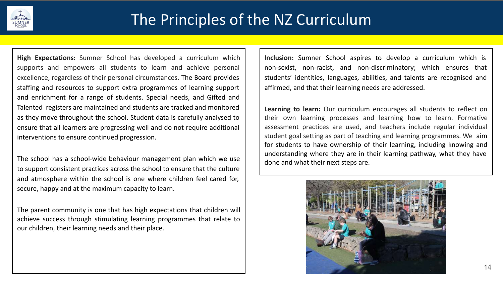

**High Expectations:** Sumner School has developed a curriculum which supports and empowers all students to learn and achieve personal excellence, regardless of their personal circumstances. The Board provides staffing and resources to support extra programmes of learning support and enrichment for a range of students. Special needs, and Gifted and Talented registers are maintained and students are tracked and monitored as they move throughout the school. Student data is carefully analysed to ensure that all learners are progressing well and do not require additional interventions to ensure continued progression.

The school has a school-wide behaviour management plan which we use to support consistent practices across the school to ensure that the culture and atmosphere within the school is one where children feel cared for, secure, happy and at the maximum capacity to learn.

The parent community is one that has high expectations that children will achieve success through stimulating learning programmes that relate to our children, their learning needs and their place.

**Inclusion:** Sumner School aspires to develop a curriculum which is non-sexist, non-racist, and non-discriminatory; which ensures that students' identities, languages, abilities, and talents are recognised and affirmed, and that their learning needs are addressed.

**Learning to learn:** Our curriculum encourages all students to reflect on their own learning processes and learning how to learn. Formative assessment practices are used, and teachers include regular individual student goal setting as part of teaching and learning programmes. We aim for students to have ownership of their learning, including knowing and understanding where they are in their learning pathway, what they have done and what their next steps are.

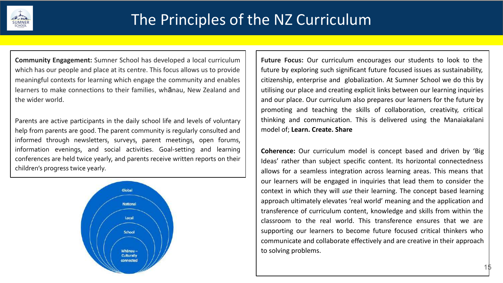

**Community Engagement:** Sumner School has developed a local curriculum which has our people and place at its centre. This focus allows us to provide meaningful contexts for learning which engage the community and enables learners to make connections to their families, whānau, New Zealand and the wider world.

Parents are active participants in the daily school life and levels of voluntary help from parents are good. The parent community is regularly consulted and informed through newsletters, surveys, parent meetings, open forums, information evenings, and social activities. Goal-setting and learning conferences are held twice yearly, and parents receive written reports on their children's progress twice yearly.



**Future Focus:** Our curriculum encourages our students to look to the future by exploring such significant future focused issues as sustainability, citizenship, enterprise and globalization. At Sumner School we do this by utilising our place and creating explicit links between our learning inquiries and our place. Our curriculum also prepares our learners for the future by promoting and teaching the skills of collaboration, creativity, critical thinking and communication. This is delivered using the Manaiakalani model of; **Learn. Create. Share**

**Coherence:** Our curriculum model is concept based and driven by 'Big Ideas' rather than subject specific content. Its horizontal connectedness allows for a seamless integration across learning areas. This means that our learners will be engaged in inquiries that lead them to consider the context in which they will *use* their learning. The concept based learning approach ultimately elevates 'real world' meaning and the application and transference of curriculum content, knowledge and skills from within the classroom to the real world. This transference ensures that we are supporting our learners to become future focused critical thinkers who communicate and collaborate effectively and are creative in their approach to solving problems.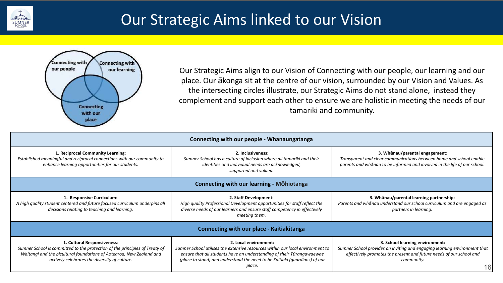

### Our Strategic Aims linked to our Vision



Our Strategic Aims align to our Vision of Connecting with our people, our learning and our place. Our ākonga sit at the centre of our vision, surrounded by our Vision and Values. As the intersecting circles illustrate, our Strategic Aims do not stand alone, instead they complement and support each other to ensure we are holistic in meeting the needs of our tamariki and community.

| Connecting with our people - Whanaungatanga                                                                                                                                                                                         |                                                                                                                                                                                                                                                                          |                                                                                                                                                                                                         |  |  |  |
|-------------------------------------------------------------------------------------------------------------------------------------------------------------------------------------------------------------------------------------|--------------------------------------------------------------------------------------------------------------------------------------------------------------------------------------------------------------------------------------------------------------------------|---------------------------------------------------------------------------------------------------------------------------------------------------------------------------------------------------------|--|--|--|
| 1. Reciprocal Community Learning:<br>Established meaningful and reciprocal connections with our community to<br>enhance learning opportunities for our students.                                                                    | 2. Inclusiveness:<br>Sumner School has a culture of inclusion where all tamariki and their<br>identities and individual needs are acknowledged,<br>supported and valued.                                                                                                 | 3. Whānau/parental engagement:<br>Transparent and clear communications between home and school enable<br>parents and whanau to be informed and involved in the life of our school.                      |  |  |  |
|                                                                                                                                                                                                                                     | <b>Connecting with our learning - Möhiotanga</b>                                                                                                                                                                                                                         |                                                                                                                                                                                                         |  |  |  |
| 1. Responsive Curriculum:<br>A high quality student centered and future focused curriculum underpins all<br>decisions relating to teaching and learning.                                                                            | 2. Staff Development:<br>High quality Professional Development opportunities for staff reflect the<br>diverse needs of our learners and ensure staff competency in effectively<br>meeting them.                                                                          | 3. Whānau/parental learning partnership:<br>Parents and whanau understand our school curriculum and are engaged as<br>partners in learning.                                                             |  |  |  |
|                                                                                                                                                                                                                                     | Connecting with our place - Kaitiakitanga                                                                                                                                                                                                                                |                                                                                                                                                                                                         |  |  |  |
| 1. Cultural Responsiveness:<br>Sumner School is committed to the protection of the principles of Treaty of<br>Waitangi and the bicultural foundations of Aotearoa, New Zealand and<br>actively celebrates the diversity of culture. | 2. Local environment:<br>Sumner School utilises the extensive resources within our local environment to<br>ensure that all students have an understanding of their Tūrangawaewae<br>(place to stand) and understand the need to be Kaitiaki (guardians) of our<br>place. | 3. School learning environment:<br>Sumner School provides an inviting and engaging learning environment that<br>effectively promotes the present and future needs of our school and<br>community.<br>16 |  |  |  |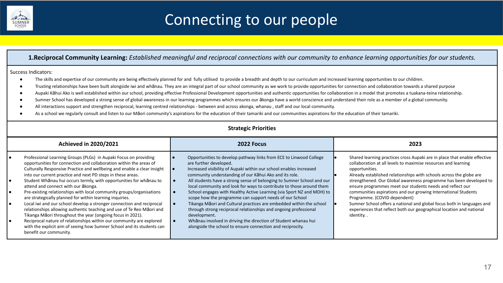

## Connecting to our people

#### **1.Reciprocal Community Learning:** *Established meaningful and reciprocal connections with our community to enhance learning opportunities for our students.*

#### Success Indicators:

- The skills and expertise of our community are being effectively planned for and fully utilised to provide a breadth and depth to our curriculum and increased learning opportunities to our children.
- Trusting relationships have been built alongside iwi and whānau. They are an integral part of our school community as we work to provide opportunities for connection and collaboration towards a shared purpose
- Aupaki Kāhui Ako is well established within our school, providing effective Professional Development opportunities and authentic opportunities for collaboration in a model that promotes a tuakana-teina relationship.
- Sumner School has developed a strong sense of global awareness in our learning programmes which ensures our ākonga have a world conscience and understand their role as a member of a global community.
- All interactions support and strengthen reciprocal, learning centred relationships between and across akonga, whanau , staff and our local community.
- As a school we regularly consult and listen to our Māori community's aspirations for the education of their tamariki and our communities aspirations for the education of their tamariki.

#### **Strategic Priorities**

|                                   | <b>Achieved in 2020/2021</b>                                                                                                                                                                                                                                                                                                                                                                                                                                                                                                                                                                                                                                                                                                                                                                                              |  | 2022 Focus                                                                                                                                                                                                                                                                                                                                                                                                                                                                                                                                                                                                                                                                                                                                      |  | 2023                                                                                                                                                                                                                                                                                                                                                                                                                                                                                                                                                                                                                                       |
|-----------------------------------|---------------------------------------------------------------------------------------------------------------------------------------------------------------------------------------------------------------------------------------------------------------------------------------------------------------------------------------------------------------------------------------------------------------------------------------------------------------------------------------------------------------------------------------------------------------------------------------------------------------------------------------------------------------------------------------------------------------------------------------------------------------------------------------------------------------------------|--|-------------------------------------------------------------------------------------------------------------------------------------------------------------------------------------------------------------------------------------------------------------------------------------------------------------------------------------------------------------------------------------------------------------------------------------------------------------------------------------------------------------------------------------------------------------------------------------------------------------------------------------------------------------------------------------------------------------------------------------------------|--|--------------------------------------------------------------------------------------------------------------------------------------------------------------------------------------------------------------------------------------------------------------------------------------------------------------------------------------------------------------------------------------------------------------------------------------------------------------------------------------------------------------------------------------------------------------------------------------------------------------------------------------------|
| $\bullet$<br>I۰<br>I۰<br>I۰<br>I۰ | Professional Learning Groups (PLGs) in Aupaki Focus on providing<br>opportunities for connection and collaboration within the areas of<br>Culturally Responsive Practice and wellbeing and enable a clear insight<br>into our current practice and next PD steps in these areas.<br>Student Whānau hui occurs termly, with opportunities for whānau to<br>attend and connect with our akonga.<br>Pre-existing relationships with local community groups/organisations<br>are strategically planned for within learning inquiries.<br>Local iwi and our school develop a stronger connection and reciprocal<br>relationships allowing authentic teaching and use of Te Reo Maori and<br>Tikanga Māori throughout the year (ongoing focus in 2021).<br>Reciprocal nature of relationships within our community are explored |  | Opportunities to develop pathway links from ECE to Linwood College<br>are further developed.<br>Increased visibility of Aupaki within our school enables increased<br>community understanding of our Kāhui Ako and its role.<br>All students have a strong sense of belonging to Sumner School and our<br>local community and look for ways to contribute to those around them<br>School engages with Healthy Active Learning (via Sport NZ and MOH) to<br>scope how the programme can support needs of our School<br>Tikanga Māori and Cultural practices are embedded within the school<br>through strong reciprocal relationships and ongoing professional<br>development.<br>Whanau involved in driving the direction of Student whanau hui |  | Shared learning practices cross Aupaki are in place that enable effective<br>collaboration at all levels to maximise resources and learning<br>opportunities.<br>Already established relationships with schools across the globe are<br>strengthened. Our Global awareness programme has been developed to<br>ensure programmes meet our students needs and reflect our<br>communities aspirations and our growing International Students<br>Programme. (COVID dependent)<br>Sumner School offers a national and global focus both in languages and<br>experiences that reflect both our geographical location and national<br>identity. . |
|                                   | with the explicit aim of seeing how Sumner School and its students can<br>benefit our community.                                                                                                                                                                                                                                                                                                                                                                                                                                                                                                                                                                                                                                                                                                                          |  | alongside the school to ensure connection and reciprocity.                                                                                                                                                                                                                                                                                                                                                                                                                                                                                                                                                                                                                                                                                      |  |                                                                                                                                                                                                                                                                                                                                                                                                                                                                                                                                                                                                                                            |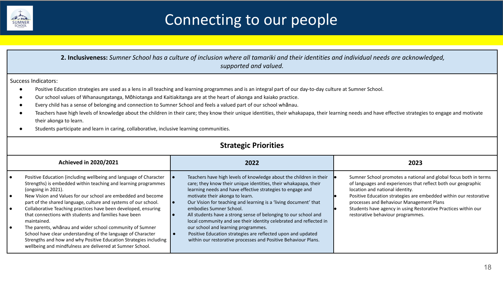

## Connecting to our people

 **2. Inclusiveness:** *Sumner School has a culture of inclusion where all tamariki and their identities and individual needs are acknowledged, supported and valued.* 

Success Indicators:

- Positive Education strategies are used as a lens in all teaching and learning programmes and is an integral part of our day-to-day culture at Sumner School.
- Our school values of Whanaungatanga, Mōhiotanga and Kaitiakitanga are at the heart of akonga and kaiako practice.
- Every child has a sense of belonging and connection to Sumner School and feels a valued part of our school whānau.
- Teachers have high levels of knowledge about the children in their care; they know their unique identities, their whakapapa, their learning needs and have effective strategies to engage and motivate their akonga to learn.
- Students participate and learn in caring, collaborative, inclusive learning communities.

| <b>Strategic Priorities</b>                                                                                                                                                                                                                                                                                                                                                                                                                                                                                                                                                                                                                                                                                       |                                                                                                                                                                                                                                                                                                                                                                                                                                                                                                                                                                                                                                                         |                                                                                                                                                                                                                                                                                                                                                                                              |  |  |
|-------------------------------------------------------------------------------------------------------------------------------------------------------------------------------------------------------------------------------------------------------------------------------------------------------------------------------------------------------------------------------------------------------------------------------------------------------------------------------------------------------------------------------------------------------------------------------------------------------------------------------------------------------------------------------------------------------------------|---------------------------------------------------------------------------------------------------------------------------------------------------------------------------------------------------------------------------------------------------------------------------------------------------------------------------------------------------------------------------------------------------------------------------------------------------------------------------------------------------------------------------------------------------------------------------------------------------------------------------------------------------------|----------------------------------------------------------------------------------------------------------------------------------------------------------------------------------------------------------------------------------------------------------------------------------------------------------------------------------------------------------------------------------------------|--|--|
| <b>Achieved in 2020/2021</b>                                                                                                                                                                                                                                                                                                                                                                                                                                                                                                                                                                                                                                                                                      | 2022                                                                                                                                                                                                                                                                                                                                                                                                                                                                                                                                                                                                                                                    | 2023                                                                                                                                                                                                                                                                                                                                                                                         |  |  |
| Positive Education (including wellbeing and language of Character<br>Strengths) is embedded within teaching and learning programmes<br>(ongoing in 2021).<br>New Vision and Values for our school are embedded and become<br>part of the shared language, culture and systems of our school.<br>Collaborative Teaching practices have been developed, ensuring<br>$\bullet$<br>that connections with students and families have been<br>maintained.<br>The parents, whanau and wider school community of Sumner<br>School have clear understanding of the language of Character<br>Strengths and how and why Positive Education Strategies including<br>wellbeing and mindfulness are delivered at Sumner School. | Teachers have high levels of knowledge about the children in their<br>care; they know their unique identities, their whakapapa, their<br>learning needs and have effective strategies to engage and<br>motivate their akonga to learn.<br>Our Vision for teaching and learning is a 'living document' that<br>embodies Sumner School.<br>All students have a strong sense of belonging to our school and<br>local community and see their identity celebrated and reflected in<br>our school and learning programmes.<br>Positive Education strategies are reflected upon and updated<br>within our restorative processes and Positive Behaviour Plans. | Sumner School promotes a national and global focus both in terms<br>of languages and experiences that reflect both our geographic<br>location and national identity.<br>Positive Education strategies are embedded within our restorative<br>processes and Behaviour Management Plans<br>Students have agency in using Restorative Practices within our<br>restorative behaviour programmes. |  |  |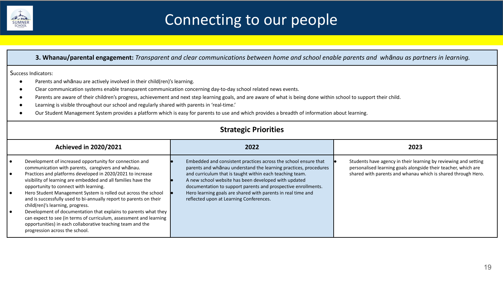

## Connecting to our people

#### **3. Whanau/parental engagement:** *Transparent and clear communications between home and school enable parents and whānau as partners in learning.*

#### Success Indicators:

- Parents and whānau are actively involved in their child(ren)'s learning.
- Clear communication systems enable transparent communication concerning day-to-day school related news events.
- Parents are aware of their children's progress, achievement and next step learning goals, and are aware of what is being done within school to support their child.
- Learning is visible throughout our school and regularly shared with parents in 'real-time.'
- Our Student Management System provides a platform which is easy for parents to use and which provides a breadth of information about learning.

#### **Strategic Priorities**

| <b>Achieved in 2020/2021</b>                                                                                                                                                                                                                                                                                                                                                                                                                                                                                                                                                                                                                                                                               | 2022                                                                                                                                                                                                                                                                                                                                                                                                                                | 2023                                                                                                                                                                                              |
|------------------------------------------------------------------------------------------------------------------------------------------------------------------------------------------------------------------------------------------------------------------------------------------------------------------------------------------------------------------------------------------------------------------------------------------------------------------------------------------------------------------------------------------------------------------------------------------------------------------------------------------------------------------------------------------------------------|-------------------------------------------------------------------------------------------------------------------------------------------------------------------------------------------------------------------------------------------------------------------------------------------------------------------------------------------------------------------------------------------------------------------------------------|---------------------------------------------------------------------------------------------------------------------------------------------------------------------------------------------------|
| Development of increased opportunity for connection and<br>communication with parents, caregivers and whanau.<br>Practices and platforms developed in 2020/2021 to increase<br>visibility of learning are embedded and all families have the<br>opportunity to connect with learning.<br>Hero Student Management System is rolled out across the school<br>and is successfully used to bi-annually report to parents on their<br>child(ren)'s learning, progress.<br>Development of documentation that explains to parents what they<br>can expect to see (in terms of curriculum, assessment and learning<br>opportunities) in each collaborative teaching team and the<br>progression across the school. | Embedded and consistent practices across the school ensure that<br>parents and whanau understand the learning practices, procedures<br>and curriculum that is taught within each teaching team.<br>A new school website has been developed with updated<br>documentation to support parents and prospective enrollments.<br>Hero learning goals are shared with parents in real time and<br>reflected upon at Learning Conferences. | Students have agency in their learning by reviewing and setting<br>personalised learning goals alongside their teacher, which are<br>shared with parents and whanau which is shared through Hero. |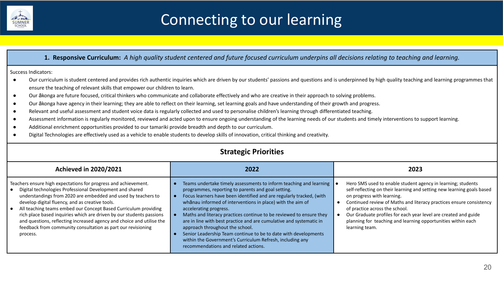

## Connecting to our learning

#### **1. Responsive Curriculum:** *A high quality student centered and future focused curriculum underpins all decisions relating to teaching and learning.*

Success Indicators:

- Our curriculum is student centered and provides rich authentic inquiries which are driven by our students' passions and questions and is underpinned by high quality teaching and learning programmes that ensure the teaching of relevant skills that empower our children to learn.
- Our ākonga are future focused, critical thinkers who communicate and collaborate effectively and who are creative in their approach to solving problems.
- Our ākonga have agency in their learning; they are able to reflect on their learning, set learning goals and have understanding of their growth and progress.
- Relevant and useful assessment and student voice data is regularly collected and used to personalise children's learning through differentiated teaching.
- Assessment information is regularly monitored, reviewed and acted upon to ensure ongoing understanding of the learning needs of our students and timely interventions to support learning.
- Additional enrichment opportunities provided to our tamariki provide breadth and depth to our curriculum.
- Digital Technologies are effectively used as a vehicle to enable students to develop skills of innovation, critical thinking and creativity.

| <b>Strategic Priorities</b>                                                                                                                                                                                                                                                                                                                                                                                                                                                                                                                     |                                                                                                                                                                                                                                                                                                                                                                                                                                                                                                                                                                                                                                                   |                                                                                                                                                                                                                                                                                                                                                                                                                                    |  |  |
|-------------------------------------------------------------------------------------------------------------------------------------------------------------------------------------------------------------------------------------------------------------------------------------------------------------------------------------------------------------------------------------------------------------------------------------------------------------------------------------------------------------------------------------------------|---------------------------------------------------------------------------------------------------------------------------------------------------------------------------------------------------------------------------------------------------------------------------------------------------------------------------------------------------------------------------------------------------------------------------------------------------------------------------------------------------------------------------------------------------------------------------------------------------------------------------------------------------|------------------------------------------------------------------------------------------------------------------------------------------------------------------------------------------------------------------------------------------------------------------------------------------------------------------------------------------------------------------------------------------------------------------------------------|--|--|
| <b>Achieved in 2020/2021</b>                                                                                                                                                                                                                                                                                                                                                                                                                                                                                                                    | 2022                                                                                                                                                                                                                                                                                                                                                                                                                                                                                                                                                                                                                                              | 2023                                                                                                                                                                                                                                                                                                                                                                                                                               |  |  |
| Teachers ensure high expectations for progress and achievement.<br>Digital technologies Professional Development and shared<br>understandings from 2020 are embedded and used by teachers to<br>develop digital fluency, and as creative tools.<br>All teaching teams embed our Concept Based Curriculum providing<br>rich place based inquiries which are driven by our students passions<br>and questions, reflecting increased agency and choice and utilise the<br>feedback from community consultation as part our revisioning<br>process. | Teams undertake timely assessments to inform teaching and learning<br>programmes, reporting to parents and goal setting.<br>Focus learners have been identified and are regularly tracked, (with<br>whanau informed of interventions in place) with the aim of<br>accelerating progress.<br>Maths and literacy practices continue to be reviewed to ensure they<br>are in line with best practice and are cumulative and systematic in<br>approach throughout the school.<br>Senior Leadership Team continue to be to date with developments<br>within the Government's Curriculum Refresh, including any<br>recommendations and related actions. | Hero SMS used to enable student agency in learning; students<br>self-reflecting on their learning and setting new learning goals based<br>on progress with learning.<br>Continued review of Maths and literacy practices ensure consistency<br>of practice across the school.<br>Our Graduate profiles for each year level are created and guide<br>planning for teaching and learning opportunities within each<br>learning team. |  |  |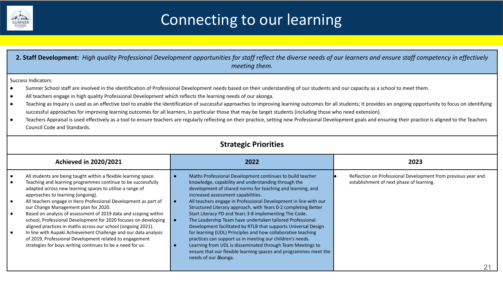

## Connecting to our learning

**2. Staff Development:** *High quality Professional Development opportunities for staff reflect the diverse needs of our learners and ensure staff competency in effectively* 

*meeting them.*  Success Indicators: ● Sumner School staff are involved in the identification of Professional Development needs based on their understanding of our students and our capacity as a school to meet them. ● All teachers engage in high quality Professional Development which reflects the learning needs of our akonga. ● Teaching as Inquiry is used as an effective tool to enable the identification of successful approaches to improving learning outcomes for all students; It provides an ongoing opportunity to focus on identifying successful approaches for improving learning outcomes for all learners, in particular those that may be target students (including those who need extension). ● Teachers Appraisal is used effectively as a tool to ensure teachers are regularly reflecting on their practice, setting new Professional Development goals and ensuring their practice is aligned to the Teachers Council Code and Standards. **Strategic Priorities Achieved in 2020/2021 2022 2023**  ● All students are being taught within a flexible learning space. ● Teaching and learning programmes continue to be successfully adapted across new learning spaces to utilise a range of approaches to learning (ongoing). ● All teachers engage in Hero Professional Development as part of our Change Management plan for 2020. ● Based on analysis of assessment of 2019 data and scoping within school, Professional Development for 2020 focuses on developing aligned practices in maths across our school (ongoing 2021). ● In line with Aupaki Achievement Challenge and our data analysis of 2019, Professional Development related to engagement strategies for boys writing continues to be a need for us. ● Maths Professional Development continues to build teacher knowledge, capability and understanding through the development of shared norms for teaching and learning, and increased assessment capabilities. ● All teachers engage in Professional Development in line with our Structured Literacy approach, with Years 0-2 completing Better Start Literacy PD and Years 3-8 implementing The Code. ● The Leadership Team have undertaken tailored Professional Development facilitated by RTLB that supports Universal Design for learning (UDL) Principles and how collaborative teaching practices can support us in meeting our children's needs. ● Learning from UDL is disseminated through Team Meetings to ensure that our flexible learning spaces and programmes meet the needs of our ākonga. Reflection on Professional Development from previous year and establishment of next phase of learning. 21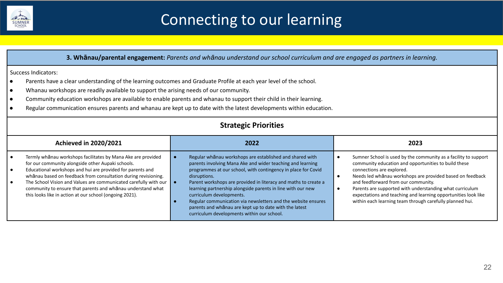

## Connecting to our learning

|                        | 3. Whanau/parental engagement: Parents and whanau understand our school curriculum and are engaged as partners in learning.                                                                                                                                                                                                                                                                                                                     |  |                                                                                                                                                                                                                                                                                                                                                                                                                                                                                                                                                |                |                                                                                                                                                                                                                                                                                                                                                                                                                                                    |  |
|------------------------|-------------------------------------------------------------------------------------------------------------------------------------------------------------------------------------------------------------------------------------------------------------------------------------------------------------------------------------------------------------------------------------------------------------------------------------------------|--|------------------------------------------------------------------------------------------------------------------------------------------------------------------------------------------------------------------------------------------------------------------------------------------------------------------------------------------------------------------------------------------------------------------------------------------------------------------------------------------------------------------------------------------------|----------------|----------------------------------------------------------------------------------------------------------------------------------------------------------------------------------------------------------------------------------------------------------------------------------------------------------------------------------------------------------------------------------------------------------------------------------------------------|--|
|                        | Success Indicators:                                                                                                                                                                                                                                                                                                                                                                                                                             |  |                                                                                                                                                                                                                                                                                                                                                                                                                                                                                                                                                |                |                                                                                                                                                                                                                                                                                                                                                                                                                                                    |  |
| $\bullet$<br>$\bullet$ | Parents have a clear understanding of the learning outcomes and Graduate Profile at each year level of the school.<br>Whanau workshops are readily available to support the arising needs of our community.                                                                                                                                                                                                                                     |  |                                                                                                                                                                                                                                                                                                                                                                                                                                                                                                                                                |                |                                                                                                                                                                                                                                                                                                                                                                                                                                                    |  |
| $\bullet$              | Community education workshops are available to enable parents and whanau to support their child in their learning.                                                                                                                                                                                                                                                                                                                              |  |                                                                                                                                                                                                                                                                                                                                                                                                                                                                                                                                                |                |                                                                                                                                                                                                                                                                                                                                                                                                                                                    |  |
| $\bullet$              |                                                                                                                                                                                                                                                                                                                                                                                                                                                 |  | Regular communication ensures parents and whanau are kept up to date with the latest developments within education.                                                                                                                                                                                                                                                                                                                                                                                                                            |                |                                                                                                                                                                                                                                                                                                                                                                                                                                                    |  |
|                        | <b>Strategic Priorities</b>                                                                                                                                                                                                                                                                                                                                                                                                                     |  |                                                                                                                                                                                                                                                                                                                                                                                                                                                                                                                                                |                |                                                                                                                                                                                                                                                                                                                                                                                                                                                    |  |
|                        | <b>Achieved in 2020/2021</b><br>2022<br>2023                                                                                                                                                                                                                                                                                                                                                                                                    |  |                                                                                                                                                                                                                                                                                                                                                                                                                                                                                                                                                |                |                                                                                                                                                                                                                                                                                                                                                                                                                                                    |  |
|                        | Termly whānau workshops facilitates by Mana Ake are provided<br>for our community alongside other Aupaki schools.<br>Educational workshops and hui are provided for parents and<br>whānau based on feedback from consultation during revisioning.<br>The School Vision and Values are communicated carefully with our<br>community to ensure that parents and whanau understand what<br>this looks like in action at our school (ongoing 2021). |  | Regular whanau workshops are established and shared with<br>parents involving Mana Ake and wider teaching and learning<br>programmes at our school, with contingency in place for Covid<br>disruptions.<br>Parent workshops are provided in literacy and maths to create a<br>learning partnership alongside parents in line with our new<br>curriculum developments.<br>Regular communication via newsletters and the website ensures<br>parents and whanau are kept up to date with the latest<br>curriculum developments within our school. | $\bullet$<br>٠ | Sumner School is used by the community as a facility to support<br>community education and opportunities to build these<br>connections are explored.<br>Needs led whānau workshops are provided based on feedback<br>and feedforward from our community.<br>Parents are supported with understanding what curriculum<br>expectations and teaching and learning opportunities look like<br>within each learning team through carefully planned hui. |  |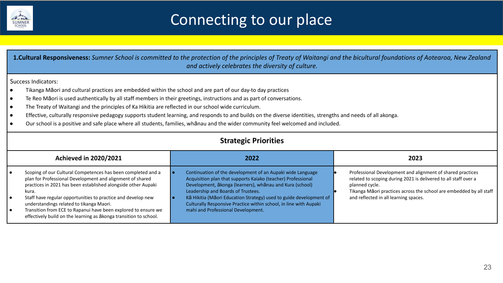

## Connecting to our place

| <b>1.Cultural Responsiveness:</b> Sumner School is committed to the protection of the principles of Treaty of Waitangi and the bicultural foundations of Aotearoa, New Zealand<br>and actively celebrates the diversity of culture.                                                                                                                                                                                                                                                                                                                                                                                                                                                                                                                           |                                                                                                                                                                                                                                                                                                                                                                                                               |                                                                                                                                                                                                                                                                 |  |  |
|---------------------------------------------------------------------------------------------------------------------------------------------------------------------------------------------------------------------------------------------------------------------------------------------------------------------------------------------------------------------------------------------------------------------------------------------------------------------------------------------------------------------------------------------------------------------------------------------------------------------------------------------------------------------------------------------------------------------------------------------------------------|---------------------------------------------------------------------------------------------------------------------------------------------------------------------------------------------------------------------------------------------------------------------------------------------------------------------------------------------------------------------------------------------------------------|-----------------------------------------------------------------------------------------------------------------------------------------------------------------------------------------------------------------------------------------------------------------|--|--|
| Success Indicators:<br>Tikanga Māori and cultural practices are embedded within the school and are part of our day-to day practices<br>Te Reo Māori is used authentically by all staff members in their greetings, instructions and as part of conversations.<br>$\bullet$<br>The Treaty of Waitangi and the principles of Ka Hikitia are reflected in our school wide curriculum.<br>$\bullet$<br>Effective, culturally responsive pedagogy supports student learning, and responds to and builds on the diverse identities, strengths and needs of all akonga.<br>$\bullet$<br>Our school is a positive and safe place where all students, families, whanau and the wider community feel welcomed and included.<br>$\bullet$<br><b>Strategic Priorities</b> |                                                                                                                                                                                                                                                                                                                                                                                                               |                                                                                                                                                                                                                                                                 |  |  |
| <b>Achieved in 2020/2021</b>                                                                                                                                                                                                                                                                                                                                                                                                                                                                                                                                                                                                                                                                                                                                  | 2022                                                                                                                                                                                                                                                                                                                                                                                                          | 2023                                                                                                                                                                                                                                                            |  |  |
| Scoping of our Cultural Competences has been completed and a<br>plan for Professional Development and alignment of shared<br>practices in 2021 has been established alongside other Aupaki<br>kura.<br>Staff have regular opportunities to practice and develop new<br>$\bullet$<br>understandings related to tikanga Maori.<br>Transition from ECE to Rapanui have been explored to ensure we<br>$\bullet$<br>effectively build on the learning as $\bar{a}$ konga transition to school.                                                                                                                                                                                                                                                                     | Continuation of the development of an Aupaki wide Language<br>Acquisition plan that supports Kaiako (teacher) Professional<br>Development, ākonga (learners), whānau and Kura (school)<br>Leadership and Boards of Trustees.<br>Kā Hikitia (Māori Education Strategy) used to guide development of<br>Culturally Responsive Practice within school, in line with Aupaki<br>mahi and Professional Development. | Professional Development and alignment of shared practices<br>related to scoping during 2021 is delivered to all staff over a<br>planned cycle.<br>Tikanga Māori practices across the school are embedded by all staff<br>and reflected in all learning spaces. |  |  |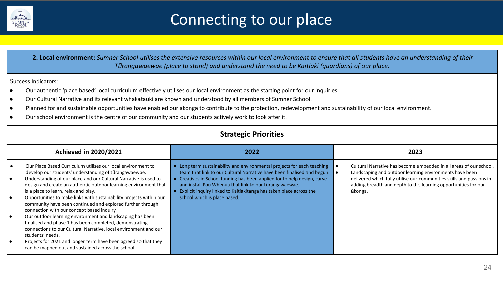

## Connecting to our place

 **2. Local environment:** *Sumner School utilises the extensive resources within our local environment to ensure that all students have an understanding of their Tūrangawaewae (place to stand) and understand the need to be Kaitiaki (guardians) of our place.* 

#### Success Indicators:

- Our authentic 'place based' local curriculum effectively utilises our local environment as the starting point for our inquiries.
- Our Cultural Narrative and its relevant whakatauki are known and understood by all members of Sumner School.
- Planned for and sustainable opportunities have enabled our akonga to contribute to the protection, redevelopment and sustainability of our local environment.
- Our school environment is the centre of our community and our students actively work to look after it.

| <b>Strategic Priorities</b>                                                                                                                                                                                                                                                                                                                                                                                                                                                                                                                                                                                                                                                                                                                                                                                                       |                                                                                                                                                                                                                                                                                                                                                                                                   |                                                                                                                                                                                                                                                                                    |  |  |
|-----------------------------------------------------------------------------------------------------------------------------------------------------------------------------------------------------------------------------------------------------------------------------------------------------------------------------------------------------------------------------------------------------------------------------------------------------------------------------------------------------------------------------------------------------------------------------------------------------------------------------------------------------------------------------------------------------------------------------------------------------------------------------------------------------------------------------------|---------------------------------------------------------------------------------------------------------------------------------------------------------------------------------------------------------------------------------------------------------------------------------------------------------------------------------------------------------------------------------------------------|------------------------------------------------------------------------------------------------------------------------------------------------------------------------------------------------------------------------------------------------------------------------------------|--|--|
| <b>Achieved in 2020/2021</b>                                                                                                                                                                                                                                                                                                                                                                                                                                                                                                                                                                                                                                                                                                                                                                                                      | 2022                                                                                                                                                                                                                                                                                                                                                                                              | 2023                                                                                                                                                                                                                                                                               |  |  |
| Our Place Based Curriculum utilises our local environment to<br>develop our students' understanding of tūrangawaewae.<br>Understanding of our place and our Cultural Narrative is used to<br>design and create an authentic outdoor learning environment that<br>is a place to learn, relax and play.<br>Opportunities to make links with sustainability projects within our<br>community have been continued and explored further through<br>connection with our concept based inquiry.<br>Our outdoor learning environment and landscaping has been<br>finalised and phase 1 has been completed, demonstrating<br>connections to our Cultural Narrative, local environment and our<br>students' needs.<br>Projects for 2021 and longer term have been agreed so that they<br>can be mapped out and sustained across the school. | • Long term sustainability and environmental projects for each teaching<br>team that link to our Cultural Narrative have been finalised and begun.<br>• Creatives in School funding has been applied for to help design, carve<br>and install Pou Whenua that link to our tūrangawaewae.<br>• Explicit inquiry linked to Kaitiakitanga has taken place across the<br>school which is place based. | Cultural Narrative has become embedded in all areas of our school.<br>Landscaping and outdoor learning environments have been<br>delivered which fully utilise our communities skills and passions in<br>adding breadth and depth to the learning opportunities for our<br>ākonga. |  |  |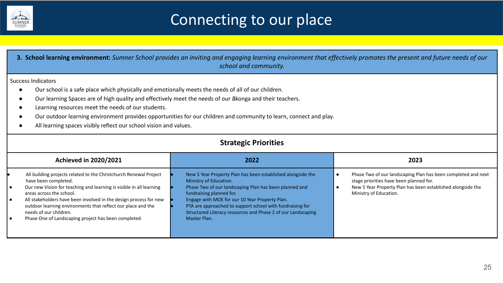

## Connecting to our place

| 3. School learning environment: Sumner School provides an inviting and engaging learning environment that effectively promotes the present and future needs of our<br>school and community.                                                                                                                                                                                                                                                                                                   |                                                                                                                                                                                                                                                                                                                                                                            |                                                                                                                                                                                                   |  |  |
|-----------------------------------------------------------------------------------------------------------------------------------------------------------------------------------------------------------------------------------------------------------------------------------------------------------------------------------------------------------------------------------------------------------------------------------------------------------------------------------------------|----------------------------------------------------------------------------------------------------------------------------------------------------------------------------------------------------------------------------------------------------------------------------------------------------------------------------------------------------------------------------|---------------------------------------------------------------------------------------------------------------------------------------------------------------------------------------------------|--|--|
| <b>Success Indicators</b><br>Our school is a safe place which physically and emotionally meets the needs of all of our children.<br>Our learning Spaces are of high quality and effectively meet the needs of our ākonga and their teachers.<br>Learning resources meet the needs of our students.<br>Our outdoor learning environment provides opportunities for our children and community to learn, connect and play.<br>All learning spaces visibly reflect our school vision and values. |                                                                                                                                                                                                                                                                                                                                                                            |                                                                                                                                                                                                   |  |  |
| <b>Strategic Priorities</b>                                                                                                                                                                                                                                                                                                                                                                                                                                                                   |                                                                                                                                                                                                                                                                                                                                                                            |                                                                                                                                                                                                   |  |  |
| <b>Achieved in 2020/2021</b>                                                                                                                                                                                                                                                                                                                                                                                                                                                                  | 2022                                                                                                                                                                                                                                                                                                                                                                       | 2023                                                                                                                                                                                              |  |  |
| All building projects related to the Christchurch Renewal Project<br>have been completed.<br>Our new Vision for teaching and learning is visible in all learning<br>areas across the school.<br>All stakeholders have been involved in the design process for new<br>$\bullet$<br>outdoor learning environments that reflect our place and the<br>needs of our children.<br>Phase One of Landscaping project has been completed                                                               | New 5 Year Property Plan has been established alongside the<br>Ministry of Education.<br>Phase Two of our landscaping Plan has been planned and<br>fundraising planned for.<br>Engage with MOE for our 10 Year Property Plan.<br>PTA are approached to support school with fundraising for<br>Structured Literacy resources and Phase 2 of our Landscaping<br>Master Plan. | Phase Two of our landscaping Plan has been completed and next<br>stage priorities have been planned for.<br>New 5 Year Property Plan has been established alongside the<br>Ministry of Education. |  |  |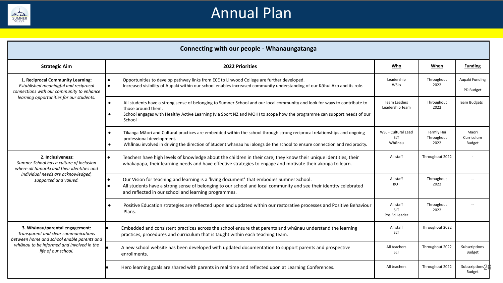

## Annual Plan

|                                                                                                                         | Connecting with our people - Whanaungatanga                                                                                                                                                                                                                                                                   |                                             |                                  |                               |  |  |
|-------------------------------------------------------------------------------------------------------------------------|---------------------------------------------------------------------------------------------------------------------------------------------------------------------------------------------------------------------------------------------------------------------------------------------------------------|---------------------------------------------|----------------------------------|-------------------------------|--|--|
| <b>Strategic Aim</b>                                                                                                    | 2022 Priorities                                                                                                                                                                                                                                                                                               | Who                                         | When                             | <b>Funding</b>                |  |  |
| 1. Reciprocal Community Learning:<br>Established meaningful and reciprocal<br>connections with our community to enhance | Opportunities to develop pathway links from ECE to Linwood College are further developed.<br>Increased visibility of Aupaki within our school enables increased community understanding of our Kāhui Ako and its role.                                                                                        | Leadership<br>WSLs                          | Throughout<br>2022               | Aupaki Funding<br>PD Budget   |  |  |
| learning opportunities for our students.                                                                                | All students have a strong sense of belonging to Sumner School and our local community and look for ways to contribute to<br>$\bullet$<br>those around them.<br>School engages with Healthy Active Learning (via Sport NZ and MOH) to scope how the programme can support needs of our<br>$\bullet$<br>School | <b>Team Leaders</b><br>Leadership Team      | Throughout<br>2022               | <b>Team Budgets</b>           |  |  |
|                                                                                                                         | Tikanga Māori and Cultural practices are embedded within the school through strong reciprocal relationships and ongoing<br>professional development.<br>Whanau involved in driving the direction of Student whanau hui alongside the school to ensure connection and reciprocity.                             | WSL - Cultural Lead<br><b>SLT</b><br>Whānau | Termly Hui<br>Throughout<br>2022 | Maori<br>Curriculum<br>Budget |  |  |
| 2. Inclusiveness:<br>Sumner School has a culture of inclusion<br>where all tamariki and their identities and            | Teachers have high levels of knowledge about the children in their care; they know their unique identities, their<br>whakapapa, their learning needs and have effective strategies to engage and motivate their akonga to learn.                                                                              | All staff                                   | Throughout 2022                  |                               |  |  |
| individual needs are acknowledged,<br>supported and valued.                                                             | Our Vision for teaching and learning is a 'living document' that embodies Sumner School.<br>All students have a strong sense of belonging to our school and local community and see their identity celebrated<br>and reflected in our school and learning programmes.                                         | All staff<br><b>BOT</b>                     | Throughout<br>2022               |                               |  |  |
|                                                                                                                         | Positive Education strategies are reflected upon and updated within our restorative processes and Positive Behaviour<br>Plans.                                                                                                                                                                                | All staff<br><b>SLT</b><br>Pos Ed Leader    | Throughout<br>2022               |                               |  |  |
| 3. Whānau/parental engagement:<br>Transparent and clear communications<br>between home and school enable parents and    | Embedded and consistent practices across the school ensure that parents and whanau understand the learning<br>practices, procedures and curriculum that is taught within each teaching team.                                                                                                                  | All staff<br><b>SLT</b>                     | Throughout 2022                  |                               |  |  |
| whānau to be informed and involved in the<br>life of our school.                                                        | A new school website has been developed with updated documentation to support parents and prospective<br>enrollments.                                                                                                                                                                                         | All teachers<br><b>SLT</b>                  | Throughout 2022                  | Subscriptions<br>Budget       |  |  |
|                                                                                                                         | Hero learning goals are shared with parents in real time and reflected upon at Learning Conferences.                                                                                                                                                                                                          | All teachers                                | Throughout 2022                  | Subscriptions?<br>Budget      |  |  |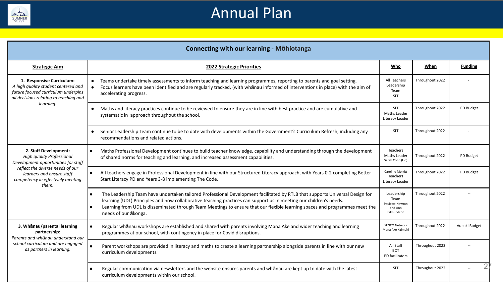

### Annual Plan

|                                                                                                                                                   | <b>Connecting with our learning - MÖhiotanga</b>                                                                                                                                                                                                                                                                                                                                                                       |                                                 |                 |                |  |  |  |
|---------------------------------------------------------------------------------------------------------------------------------------------------|------------------------------------------------------------------------------------------------------------------------------------------------------------------------------------------------------------------------------------------------------------------------------------------------------------------------------------------------------------------------------------------------------------------------|-------------------------------------------------|-----------------|----------------|--|--|--|
| <b>Strategic Aim</b>                                                                                                                              | <b>2022 Strategic Priorities</b>                                                                                                                                                                                                                                                                                                                                                                                       | Who                                             | When            | <b>Funding</b> |  |  |  |
| 1. Responsive Curriculum:<br>A high quality student centered and<br>future focused curriculum underpins<br>all decisions relating to teaching and | Teams undertake timely assessments to inform teaching and learning programmes, reporting to parents and goal setting.<br>Focus learners have been identified and are regularly tracked, (with whanau informed of interventions in place) with the aim of<br>$\bullet$<br>accelerating progress.                                                                                                                        |                                                 | Throughout 2022 |                |  |  |  |
| learning.                                                                                                                                         | Maths and literacy practices continue to be reviewed to ensure they are in line with best practice and are cumulative and<br>$\bullet$<br>systematic in approach throughout the school.                                                                                                                                                                                                                                | <b>SLT</b><br>Maths Leader<br>Literacy Leader   | Throughout 2022 | PD Budget      |  |  |  |
|                                                                                                                                                   | Senior Leadership Team continue to be to date with developments within the Government's Curriculum Refresh, including any<br>$\bullet$<br>recommendations and related actions.                                                                                                                                                                                                                                         | <b>SLT</b>                                      | Throughout 2022 |                |  |  |  |
| 2. Staff Development:<br>High quality Professional<br>Development opportunities for staff                                                         | Maths Professional Development continues to build teacher knowledge, capability and understanding through the development<br>$\bullet$<br>of shared norms for teaching and learning, and increased assessment capabilities.                                                                                                                                                                                            | Teachers<br>Maths Leader<br>Sarah Cobb (UC)     | Throughout 2022 | PD Budget      |  |  |  |
| reflect the diverse needs of our<br>learners and ensure staff<br>competency in effectively meeting<br>them.                                       | All teachers engage in Professional Development in line with our Structured Literacy approach, with Years 0-2 completing Better<br>$\bullet$<br>Start Literacy PD and Years 3-8 implementing The Code.                                                                                                                                                                                                                 | Caroline Morritt<br>Teachers<br>Literacy Leader | Throughout 2022 | PD Budget      |  |  |  |
|                                                                                                                                                   | The Leadership Team have undertaken tailored Professional Development facilitated by RTLB that supports Universal Design for<br>$\bullet$<br>learning (UDL) Principles and how collaborative teaching practices can support us in meeting our children's needs.<br>Learning from UDL is disseminated through Team Meetings to ensure that our flexible learning spaces and programmes meet the<br>needs of our ākonga. |                                                 | Throughout 2022 |                |  |  |  |
| 3. Whānau/parental learning<br>partnership:<br>Parents and whānau understand our                                                                  | Regular whanau workshops are established and shared with parents involving Mana Ake and wider teaching and learning<br>programmes at our school, with contingency in place for Covid disruptions.                                                                                                                                                                                                                      | <b>SENCO Network</b><br>Mana Ake Kaimahi        | Throughout 2022 | Aupaki Budget  |  |  |  |
| school curriculum and are engaged<br>as partners in learning.                                                                                     | Parent workshops are provided in literacy and maths to create a learning partnership alongside parents in line with our new<br>curriculum developments.                                                                                                                                                                                                                                                                | All Staff<br><b>BOT</b><br>PD facilitators      | Throughout 2022 |                |  |  |  |
|                                                                                                                                                   | Regular communication via newsletters and the website ensures parents and whanau are kept up to date with the latest<br>٠<br>curriculum developments within our school.                                                                                                                                                                                                                                                | <b>SLT</b>                                      | Throughout 2022 |                |  |  |  |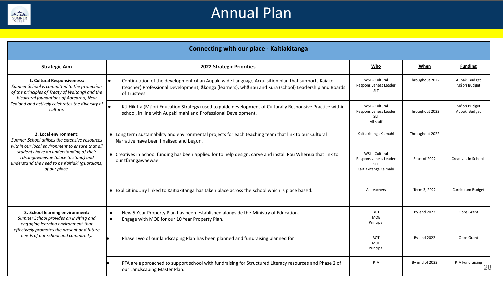

### Annual Plan

|                                                                                                                                                                           | <b>Connecting with our place - Kaitiakitanga</b>                                                                                                                                                                                       |                                                                                |                 |                               |  |  |  |
|---------------------------------------------------------------------------------------------------------------------------------------------------------------------------|----------------------------------------------------------------------------------------------------------------------------------------------------------------------------------------------------------------------------------------|--------------------------------------------------------------------------------|-----------------|-------------------------------|--|--|--|
| <b>Strategic Aim</b>                                                                                                                                                      | <b>2022 Strategic Priorities</b>                                                                                                                                                                                                       | Who                                                                            | <b>When</b>     | <b>Funding</b>                |  |  |  |
| 1. Cultural Responsiveness:<br>Sumner School is committed to the protection<br>of the principles of Treaty of Waitangi and the<br>bicultural foundations of Aotearoa, New | Continuation of the development of an Aupaki wide Language Acquisition plan that supports Kaiako<br>$\bullet$<br>(teacher) Professional Development, ākonga (learners), whānau and Kura (school) Leadership and Boards<br>of Trustees. | WSL - Cultural<br>Responsiveness Leader<br><b>SLT</b>                          | Throughout 2022 | Aupaki Budget<br>Māori Budget |  |  |  |
| Zealand and actively celebrates the diversity of<br>culture.                                                                                                              | Kā Hikitia (Māori Education Strategy) used to guide development of Culturally Responsive Practice within<br>school, in line with Aupaki mahi and Professional Development.                                                             | WSL - Cultural<br>Responsiveness Leader<br><b>SLT</b><br>All staff             | Throughout 2022 | Māori Budget<br>Aupaki Budget |  |  |  |
| 2. Local environment:<br>Sumner School utilises the extensive resources<br>within our local environment to ensure that all                                                | • Long term sustainability and environmental projects for each teaching team that link to our Cultural<br>Narrative have been finalised and begun.                                                                                     | Kaitiakitanga Kaimahi                                                          | Throughout 2022 |                               |  |  |  |
| students have an understanding of their<br>Tūrangawaewae (place to stand) and<br>understand the need to be Kaitiaki (guardians)<br>of our place.                          | • Creatives in School funding has been applied for to help design, carve and install Pou Whenua that link to<br>our tūrangawaewae.                                                                                                     | WSL - Cultural<br>Responsiveness Leader<br><b>SLT</b><br>Kaitiakitanga Kaimahi | Start of 2022   | <b>Creatives in Schools</b>   |  |  |  |
|                                                                                                                                                                           | • Explicit inquiry linked to Kaitiakitanga has taken place across the school which is place based.                                                                                                                                     | All teachers                                                                   | Term 3, 2022    | Curriculum Budget             |  |  |  |
| 3. School learning environment:<br>Sumner School provides an inviting and<br>engaging learning environment that<br>effectively promotes the present and future            | New 5 Year Property Plan has been established alongside the Ministry of Education.<br>$\bullet$<br>Engage with MOE for our 10 Year Property Plan.<br>$\bullet$                                                                         | <b>BOT</b><br>MOE<br>Principal                                                 | By end 2022     | Opps Grant                    |  |  |  |
| needs of our school and community.                                                                                                                                        | Phase Two of our landscaping Plan has been planned and fundraising planned for.                                                                                                                                                        | BOT<br>MOE<br>Principal                                                        | By end 2022     | Opps Grant                    |  |  |  |
|                                                                                                                                                                           | PTA are approached to support school with fundraising for Structured Literacy resources and Phase 2 of<br>our Landscaping Master Plan.                                                                                                 | PTA                                                                            | By end of 2022  | PTA Fundraising               |  |  |  |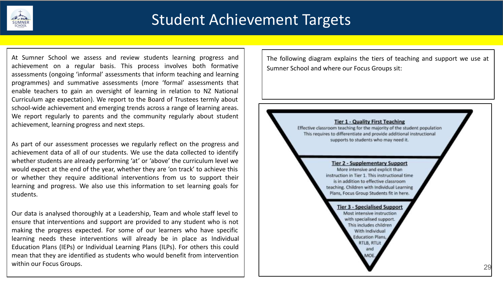

At Sumner School we assess and review students learning progress and achievement on a regular basis. This process involves both formative assessments (ongoing 'informal' assessments that inform teaching and learning programmes) and summative assessments (more 'formal' assessments that enable teachers to gain an oversight of learning in relation to NZ National Curriculum age expectation). We report to the Board of Trustees termly about school-wide achievement and emerging trends across a range of learning areas. We report regularly to parents and the community regularly about student achievement, learning progress and next steps.

As part of our assessment processes we regularly reflect on the progress and achievement data of all of our students. We use the data collected to identify whether students are already performing 'at' or 'above' the curriculum level we would expect at the end of the year, whether they are 'on track' to achieve this or whether they require additional interventions from us to support their learning and progress. We also use this information to set learning goals for students.

Our data is analysed thoroughly at a Leadership, Team and whole staff level to ensure that interventions and support are provided to any student who is not making the progress expected. For some of our learners who have specific learning needs these interventions will already be in place as Individual Education Plans (IEPs) or Individual Learning Plans (ILPs). For others this could mean that they are identified as students who would benefit from intervention within our Focus Groups.

The following diagram explains the tiers of teaching and support we use at Sumner School and where our Focus Groups sit:

#### **Tier 1 - Quality First Teaching**

Effective classroom teaching for the majority of the student population This requires to differentiate and provide additional instructional supports to students who may need it.

#### **Tier 2 - Supplementary Support**

More intensive and explicit than instruction in Tier 1. This instructional time is in addition to effective classroom teaching. Children with Individual Learning Plans, Focus Group Students fit in here.

> **Tier 3 - Specialised Support** Most intensive instruction with specialised support. This includes children With Individual **Education Plans.** RTLB, RTLit and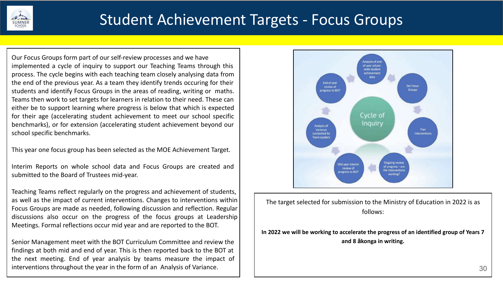

### Student Achievement Targets - Focus Groups

Our Focus Groups form part of our self-review processes and we have implemented a cycle of inquiry to support our Teaching Teams through this process. The cycle begins with each teaching team closely analysing data from the end of the previous year. As a team they identify trends occuring for their students and identify Focus Groups in the areas of reading, writing or maths. Teams then work to set targets for learners in relation to their need. These can either be to support learning where progress is below that which is expected for their age (accelerating student achievement to meet our school specific benchmarks), or for extension (accelerating student achievement beyond our school specific benchmarks.

This year one focus group has been selected as the MOE Achievement Target.

Interim Reports on whole school data and Focus Groups are created and submitted to the Board of Trustees mid-year.

Teaching Teams reflect regularly on the progress and achievement of students, as well as the impact of current interventions. Changes to interventions within Focus Groups are made as needed, following discussion and reflection. Regular discussions also occur on the progress of the focus groups at Leadership Meetings. Formal reflections occur mid year and are reported to the BOT.

Senior Management meet with the BOT Curriculum Committee and review the findings at both mid and end of year. This is then reported back to the BOT at the next meeting. End of year analysis by teams measure the impact of interventions throughout the year in the form of an Analysis of Variance.



The target selected for submission to the Ministry of Education in 2022 is as follows:

**In 2022 we will be working to accelerate the progress of an identified group of Years 7 and 8 ākonga in writing.**